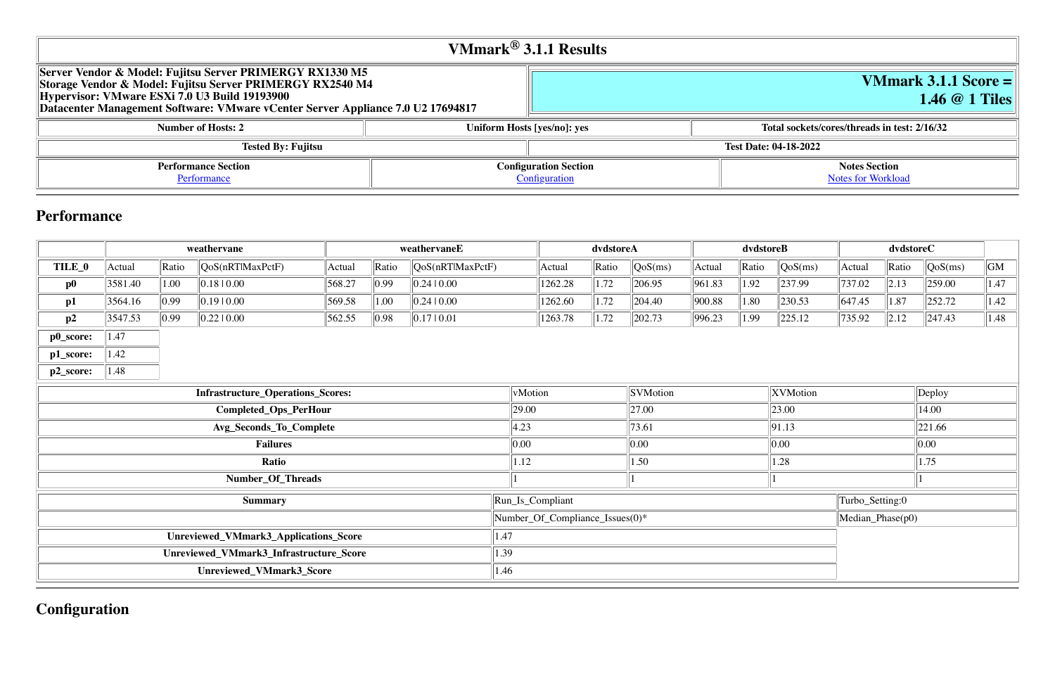**Notes Section [Notes for Workload](file:///Users/griderr/Documents/ReviewPanel/0419/VMmark3_Fujitsu_RX1330M5_1.46_1tiles_disclosure.html#NotesForWorkload)** 

# **VMmark 3.1.1 Score = 1.46 @ 1 Tiles**

#### **Number 12 Indiac Sockets/cores/threads in test: 2/16/32**

| VMmark $^{\circledR}$ 3.1.1 Results                                                                                                                                                                                                                       |                             |                                               |  |  |  |  |  |  |  |
|-----------------------------------------------------------------------------------------------------------------------------------------------------------------------------------------------------------------------------------------------------------|-----------------------------|-----------------------------------------------|--|--|--|--|--|--|--|
| Server Vendor & Model: Fujitsu Server PRIMERGY RX1330 M5<br>Storage Vendor & Model: Fujitsu Server PRIMERGY RX2540 M4<br>Hypervisor: VMware ESXi 7.0 U3 Build 19193900<br>Datacenter Management Software: VMware vCenter Server Appliance 7.0 U2 17694817 |                             |                                               |  |  |  |  |  |  |  |
| <b>Number of Hosts: 2</b>                                                                                                                                                                                                                                 | Uniform Hosts [yes/no]: yes | <b>Total sockets</b>                          |  |  |  |  |  |  |  |
| <b>Tested By: Fujitsu</b>                                                                                                                                                                                                                                 |                             | <b>Test Date: 04-18-2022</b>                  |  |  |  |  |  |  |  |
| <b>Performance Section</b><br>Performance                                                                                                                                                                                                                 |                             | <b>Configuration Section</b><br>Configuration |  |  |  |  |  |  |  |

# **Performance**

|                                   | weathervane<br>weathervaneE |                |                                         | dvdstoreA |                  | dvdstoreB           |       |         | dvdstoreC |                  |        |                 |         |        |                  |                  |      |
|-----------------------------------|-----------------------------|----------------|-----------------------------------------|-----------|------------------|---------------------|-------|---------|-----------|------------------|--------|-----------------|---------|--------|------------------|------------------|------|
| TILE_0                            | Actual                      | Ratio          | QoS(nRTlMaxPctF)                        | Actual    | Ratio            | QoS(nRTlMaxPctF)    |       | Actual  | Ratio     | QoS(ms)          | Actual | Ratio           | QoS(ms) | Actual | Ratio            | $\sqrt{QoS(ms)}$ | GM   |
| $\mathbf{p0}$                     | 3581.40                     | 1.00           | 0.1810.00                               | 568.27    | 0.99             | 0.24 0.00           |       | 1262.28 | 1.72      | 206.95           | 961.83 | 1.92            | 237.99  | 737.02 | 2.13             | 259.00           | 1.47 |
| p1                                | 3564.16                     | $ 0.99\rangle$ | 0.1910.00                               | 569.58    | 1.00             | 0.24 0.00           |       | 1262.60 | 1.72      | 204.40           | 900.88 | 1.80            | 230.53  | 647.45 | $\parallel$ 1.87 | 252.72           | 1.42 |
| p2                                | 3547.53                     | $ 0.99\rangle$ | 0.2210.00                               | 562.55    | 0.98             | $\vert$ 0.17   0.01 |       | 1263.78 | 1.72      | 202.73           | 996.23 | 1.99            | 225.12  | 735.92 | $\ 2.12\ $       | $\vert$ 247.43   | 1.48 |
| p0_score:                         | 1.47                        |                |                                         |           |                  |                     |       |         |           |                  |        |                 |         |        |                  |                  |      |
| p1_score:                         | 1.42                        |                |                                         |           |                  |                     |       |         |           |                  |        |                 |         |        |                  |                  |      |
| p2_score:                         | 1.48                        |                |                                         |           |                  |                     |       |         |           |                  |        |                 |         |        |                  |                  |      |
| Infrastructure_Operations_Scores: |                             |                | vMotion                                 |           |                  | <b>SVMotion</b>     |       |         | XVMotion  |                  |        | Deploy          |         |        |                  |                  |      |
| Completed_Ops_PerHour             |                             |                |                                         | 29.00     |                  |                     | 27.00 |         |           | $\ 23.00\ $      |        |                 | 14.00   |        |                  |                  |      |
| Avg_Seconds_To_Complete           |                             |                |                                         | 4.23      |                  |                     | 73.61 |         |           | 91.13            |        |                 | 221.66  |        |                  |                  |      |
| <b>Failures</b>                   |                             |                |                                         | 0.00      |                  |                     | 0.00  |         |           | $\ 0.00$         |        |                 | 0.00    |        |                  |                  |      |
| Ratio                             |                             |                | 1.12                                    |           |                  | 1.50                |       |         | 1.28      |                  |        | 1.75            |         |        |                  |                  |      |
|                                   |                             |                | Number_Of_Threads                       |           |                  |                     |       |         |           |                  |        |                 |         |        |                  |                  |      |
| <b>Summary</b>                    |                             |                |                                         |           | Run_Is_Compliant |                     |       |         |           |                  |        | Turbo_Setting:0 |         |        |                  |                  |      |
|                                   |                             |                | Number_Of_Compliance_Issues(0)*         |           |                  |                     |       |         |           | Median_Phase(p0) |        |                 |         |        |                  |                  |      |
|                                   |                             |                | Unreviewed_VMmark3_Applications_Score   |           |                  | 1.47                |       |         |           |                  |        |                 |         |        |                  |                  |      |
|                                   |                             |                | Unreviewed_VMmark3_Infrastructure_Score |           |                  | 1.39                |       |         |           |                  |        |                 |         |        |                  |                  |      |
| Unreviewed_VMmark3_Score          |                             |                |                                         | 1.46      |                  |                     |       |         |           |                  |        |                 |         |        |                  |                  |      |

|                                         | $\mathbb{N}$ umber_Of_Compliance_Issues(0)* |
|-----------------------------------------|---------------------------------------------|
| Unreviewed_VMmark3_Applications_Score   | 1.47                                        |
| Unreviewed_VMmark3_Infrastructure_Score | 1.39                                        |
| Unreviewed_VMmark3_Score                | 1.46                                        |
|                                         |                                             |

# **Configuration**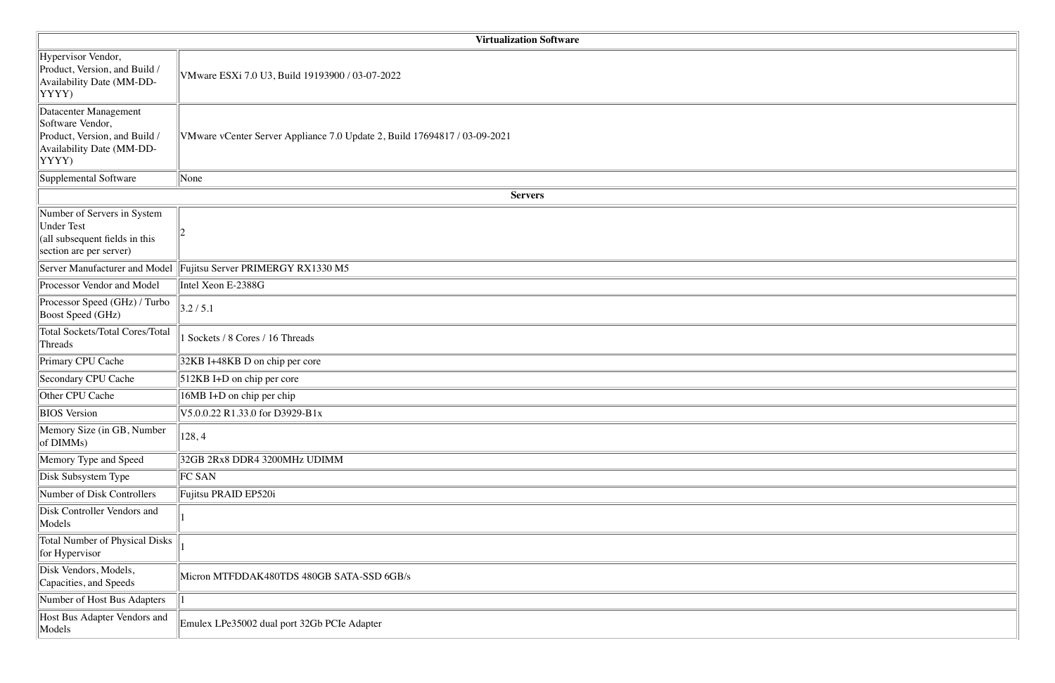| <b>Virtualization Software</b>                                                                                   |                                                                           |  |  |  |  |  |  |
|------------------------------------------------------------------------------------------------------------------|---------------------------------------------------------------------------|--|--|--|--|--|--|
| Hypervisor Vendor,<br>Product, Version, and Build /<br>Availability Date (MM-DD-<br>YYYY)                        | VMware ESXi 7.0 U3, Build 19193900 / 03-07-2022                           |  |  |  |  |  |  |
| Datacenter Management<br>Software Vendor,<br>Product, Version, and Build /<br>Availability Date (MM-DD-<br>YYYY) | VMware vCenter Server Appliance 7.0 Update 2, Build 17694817 / 03-09-2021 |  |  |  |  |  |  |
| Supplemental Software                                                                                            | None                                                                      |  |  |  |  |  |  |
|                                                                                                                  | <b>Servers</b>                                                            |  |  |  |  |  |  |
| Number of Servers in System<br><b>Under Test</b><br>(all subsequent fields in this<br>section are per server)    |                                                                           |  |  |  |  |  |  |
| Server Manufacturer and Model                                                                                    | Fujitsu Server PRIMERGY RX1330 M5                                         |  |  |  |  |  |  |
| Processor Vendor and Model                                                                                       | Intel Xeon E-2388G                                                        |  |  |  |  |  |  |
| Processor Speed (GHz) / Turbo<br><b>Boost Speed (GHz)</b>                                                        | 3.2/5.1                                                                   |  |  |  |  |  |  |
| <b>Total Sockets/Total Cores/Total</b><br>Threads                                                                | Sockets / 8 Cores / 16 Threads                                            |  |  |  |  |  |  |
| Primary CPU Cache                                                                                                | 32KB I+48KB D on chip per core                                            |  |  |  |  |  |  |
| Secondary CPU Cache                                                                                              | 512KB I+D on chip per core                                                |  |  |  |  |  |  |
| Other CPU Cache                                                                                                  | 16MB I+D on chip per chip                                                 |  |  |  |  |  |  |
| <b>BIOS</b> Version                                                                                              | V5.0.0.22 R1.33.0 for D3929-B1x                                           |  |  |  |  |  |  |
| Memory Size (in GB, Number<br>of DIMMs)                                                                          | 128,4                                                                     |  |  |  |  |  |  |
| Memory Type and Speed                                                                                            | 32GB 2Rx8 DDR4 3200MHz UDIMM                                              |  |  |  |  |  |  |
| Disk Subsystem Type                                                                                              | FC SAN                                                                    |  |  |  |  |  |  |
| Number of Disk Controllers                                                                                       | Fujitsu PRAID EP520i                                                      |  |  |  |  |  |  |
| Disk Controller Vendors and<br>Models                                                                            |                                                                           |  |  |  |  |  |  |
| <b>Total Number of Physical Disks</b><br>for Hypervisor                                                          |                                                                           |  |  |  |  |  |  |
| Disk Vendors, Models,<br>Capacities, and Speeds                                                                  | Micron MTFDDAK480TDS 480GB SATA-SSD 6GB/s                                 |  |  |  |  |  |  |
| Number of Host Bus Adapters                                                                                      |                                                                           |  |  |  |  |  |  |
| Host Bus Adapter Vendors and<br>Models                                                                           | Emulex LPe35002 dual port 32Gb PCIe Adapter                               |  |  |  |  |  |  |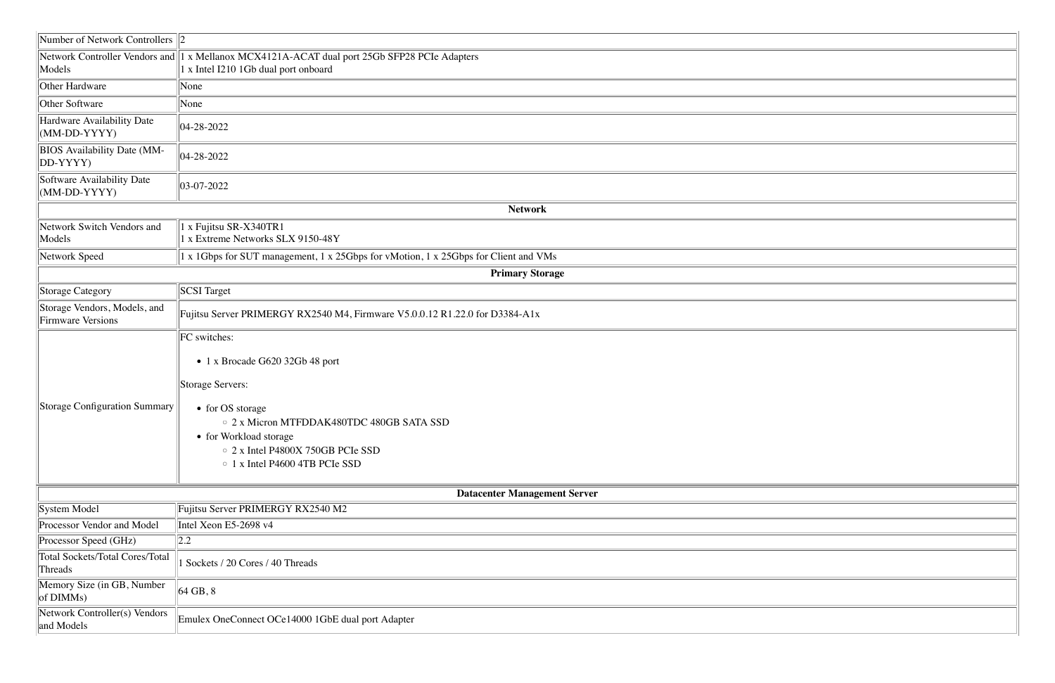| Number of Network Controllers $\ 2\ $                    |                                                                                                                                                                                                                                                                                    |
|----------------------------------------------------------|------------------------------------------------------------------------------------------------------------------------------------------------------------------------------------------------------------------------------------------------------------------------------------|
| Models                                                   | Network Controller Vendors and 1 x Mellanox MCX4121A-ACAT dual port 25Gb SFP28 PCIe Adapters<br>x Intel I210 1Gb dual port onboard                                                                                                                                                 |
| Other Hardware                                           | None                                                                                                                                                                                                                                                                               |
| Other Software                                           | None                                                                                                                                                                                                                                                                               |
| Hardware Availability Date<br>(MM-DD-YYYY)               | $ 04-28-2022$                                                                                                                                                                                                                                                                      |
| <b>BIOS</b> Availability Date (MM-<br>DD-YYYY)           | $ 04-28-2022$                                                                                                                                                                                                                                                                      |
| Software Availability Date<br>$(MM-DD-YYYY)$             | $ 03-07-2022 $                                                                                                                                                                                                                                                                     |
|                                                          | <b>Network</b>                                                                                                                                                                                                                                                                     |
| Network Switch Vendors and<br>Models                     | 1 x Fujitsu SR-X340TR1<br>1 x Extreme Networks SLX 9150-48Y                                                                                                                                                                                                                        |
| Network Speed                                            | 1 x 1Gbps for SUT management, 1 x 25Gbps for vMotion, 1 x 25Gbps for Client and VMs                                                                                                                                                                                                |
|                                                          | <b>Primary Storage</b>                                                                                                                                                                                                                                                             |
| <b>Storage Category</b>                                  | <b>SCSI</b> Target                                                                                                                                                                                                                                                                 |
| Storage Vendors, Models, and<br><b>Firmware Versions</b> | Fujitsu Server PRIMERGY RX2540 M4, Firmware V5.0.0.12 R1.22.0 for D3384-A1x                                                                                                                                                                                                        |
| <b>Storage Configuration Summary</b>                     | FC switches:<br>• 1 x Brocade G620 32Gb 48 port<br>Storage Servers:<br>• for OS storage<br>○ 2 x Micron MTFDDAK480TDC 480GB SATA SSD<br>• for Workload storage<br>○ 2 x Intel P4800X 750GB PCIe SSD<br>$\circ$ 1 x Intel P4600 4TB PCIe SSD<br><b>Datacenter Management Server</b> |
| System Model                                             | Fujitsu Server PRIMERGY RX2540 M2                                                                                                                                                                                                                                                  |
| Processor Vendor and Model                               | Intel Xeon E5-2698 v4                                                                                                                                                                                                                                                              |
| Processor Speed (GHz)                                    | 2.2                                                                                                                                                                                                                                                                                |
| <b>Total Sockets/Total Cores/Total</b><br>Threads        | Sockets / 20 Cores / 40 Threads                                                                                                                                                                                                                                                    |
| Memory Size (in GB, Number<br>of DIMMs)                  | $\parallel$ 64 GB, 8                                                                                                                                                                                                                                                               |
| Network Controller(s) Vendors<br>and Models              | Emulex OneConnect OCe14000 1GbE dual port Adapter                                                                                                                                                                                                                                  |

| <u> 1988 - Johann Stoff, deutscher Stoff, der Stoff, der Stoff, der Stoff, der Stoff, der Stoff, der Stoff, der S</u> |  |
|-----------------------------------------------------------------------------------------------------------------------|--|
|                                                                                                                       |  |
|                                                                                                                       |  |
|                                                                                                                       |  |
|                                                                                                                       |  |
|                                                                                                                       |  |
|                                                                                                                       |  |
|                                                                                                                       |  |
|                                                                                                                       |  |
|                                                                                                                       |  |
|                                                                                                                       |  |
|                                                                                                                       |  |
|                                                                                                                       |  |
|                                                                                                                       |  |
|                                                                                                                       |  |
|                                                                                                                       |  |
|                                                                                                                       |  |
|                                                                                                                       |  |
|                                                                                                                       |  |
|                                                                                                                       |  |
|                                                                                                                       |  |
|                                                                                                                       |  |
|                                                                                                                       |  |
|                                                                                                                       |  |
|                                                                                                                       |  |
|                                                                                                                       |  |
|                                                                                                                       |  |
|                                                                                                                       |  |
|                                                                                                                       |  |
|                                                                                                                       |  |
|                                                                                                                       |  |
|                                                                                                                       |  |
|                                                                                                                       |  |
|                                                                                                                       |  |
|                                                                                                                       |  |
|                                                                                                                       |  |
|                                                                                                                       |  |
|                                                                                                                       |  |
|                                                                                                                       |  |
|                                                                                                                       |  |
|                                                                                                                       |  |
|                                                                                                                       |  |
|                                                                                                                       |  |
|                                                                                                                       |  |
|                                                                                                                       |  |
|                                                                                                                       |  |
|                                                                                                                       |  |
|                                                                                                                       |  |
|                                                                                                                       |  |
|                                                                                                                       |  |
|                                                                                                                       |  |
|                                                                                                                       |  |
|                                                                                                                       |  |
|                                                                                                                       |  |
|                                                                                                                       |  |
|                                                                                                                       |  |
|                                                                                                                       |  |
|                                                                                                                       |  |
|                                                                                                                       |  |
|                                                                                                                       |  |
|                                                                                                                       |  |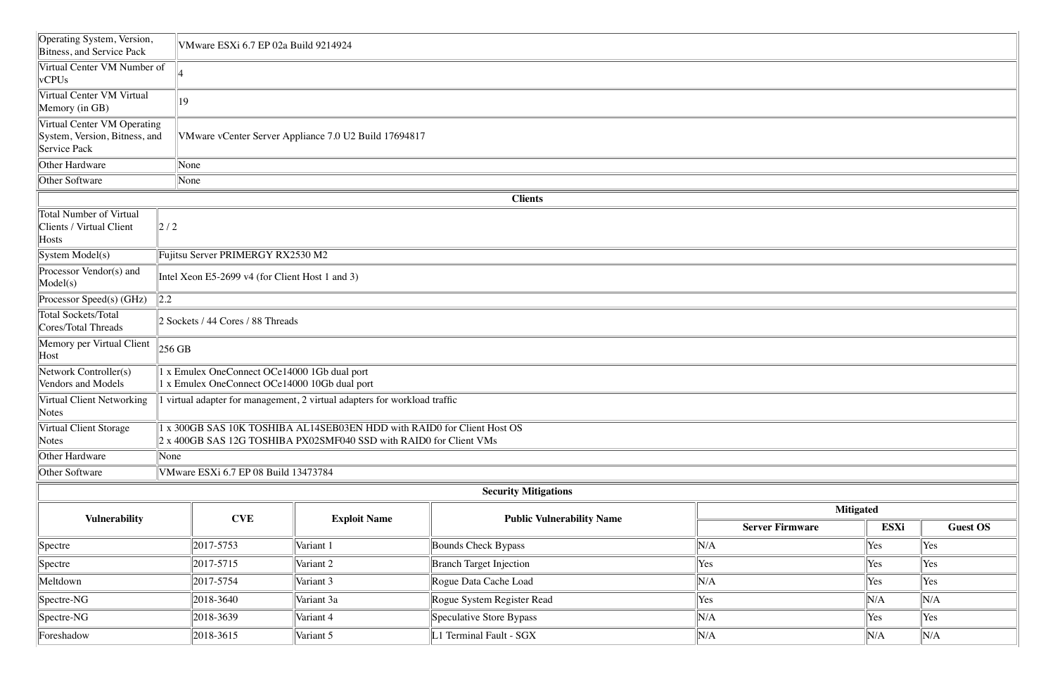| Operating System, Version,<br>Bitness, and Service Pack                      | VMware ESXi 6.7 EP 02a Build 9214924                                                                                                          |                                                 |                     |                                  |                        |      |                 |  |  |  |  |
|------------------------------------------------------------------------------|-----------------------------------------------------------------------------------------------------------------------------------------------|-------------------------------------------------|---------------------|----------------------------------|------------------------|------|-----------------|--|--|--|--|
| Virtual Center VM Number of<br>$\sqrt{VCPUs}$                                |                                                                                                                                               |                                                 |                     |                                  |                        |      |                 |  |  |  |  |
| Virtual Center VM Virtual<br>Memory (in GB)                                  | 19                                                                                                                                            |                                                 |                     |                                  |                        |      |                 |  |  |  |  |
| Virtual Center VM Operating<br>System, Version, Bitness, and<br>Service Pack | VMware vCenter Server Appliance 7.0 U2 Build 17694817                                                                                         |                                                 |                     |                                  |                        |      |                 |  |  |  |  |
| Other Hardware                                                               | None                                                                                                                                          |                                                 |                     |                                  |                        |      |                 |  |  |  |  |
| Other Software                                                               | None                                                                                                                                          |                                                 |                     |                                  |                        |      |                 |  |  |  |  |
|                                                                              |                                                                                                                                               |                                                 |                     | <b>Clients</b>                   |                        |      |                 |  |  |  |  |
| Total Number of Virtual<br>Clients / Virtual Client<br>$\parallel$ Hosts     | $\left 2\right /2$                                                                                                                            |                                                 |                     |                                  |                        |      |                 |  |  |  |  |
| $\left\Vert \text{System Model(s)}\right\Vert$                               |                                                                                                                                               | Fujitsu Server PRIMERGY RX2530 M2               |                     |                                  |                        |      |                 |  |  |  |  |
| Processor Vendor(s) and<br>$\text{Model}(s)$                                 |                                                                                                                                               | Intel Xeon E5-2699 v4 (for Client Host 1 and 3) |                     |                                  |                        |      |                 |  |  |  |  |
| Processor Speed(s) (GHz)                                                     | $\vert$ 2.2                                                                                                                                   |                                                 |                     |                                  |                        |      |                 |  |  |  |  |
| Total Sockets/Total<br>Cores/Total Threads                                   | 2 Sockets / 44 Cores / 88 Threads                                                                                                             |                                                 |                     |                                  |                        |      |                 |  |  |  |  |
| Memory per Virtual Client<br>$\Vert$ Host                                    | $256$ GB                                                                                                                                      |                                                 |                     |                                  |                        |      |                 |  |  |  |  |
| Network Controller(s)<br>Vendors and Models                                  | 1 x Emulex OneConnect OCe14000 1Gb dual port<br>1 x Emulex OneConnect OCe14000 10Gb dual port                                                 |                                                 |                     |                                  |                        |      |                 |  |  |  |  |
| Virtual Client Networking<br>$\sqrt{\text{Notes}}$                           | virtual adapter for management, 2 virtual adapters for workload traffic                                                                       |                                                 |                     |                                  |                        |      |                 |  |  |  |  |
| Virtual Client Storage<br>Notes                                              | 1 x 300GB SAS 10K TOSHIBA AL14SEB03EN HDD with RAID0 for Client Host OS<br>2 x 400GB SAS 12G TOSHIBA PX02SMF040 SSD with RAID0 for Client VMs |                                                 |                     |                                  |                        |      |                 |  |  |  |  |
| Other Hardware                                                               | None                                                                                                                                          |                                                 |                     |                                  |                        |      |                 |  |  |  |  |
| Other Software                                                               |                                                                                                                                               | VMware ESXi 6.7 EP 08 Build 13473784            |                     |                                  |                        |      |                 |  |  |  |  |
|                                                                              |                                                                                                                                               |                                                 |                     | <b>Security Mitigations</b>      |                        |      |                 |  |  |  |  |
|                                                                              | <b>CVE</b>                                                                                                                                    |                                                 |                     |                                  | <b>Mitigated</b>       |      |                 |  |  |  |  |
| <b>Vulnerability</b>                                                         |                                                                                                                                               |                                                 | <b>Exploit Name</b> | <b>Public Vulnerability Name</b> | <b>Server Firmware</b> | ESXi | <b>Guest OS</b> |  |  |  |  |
| $\sqrt{\text{Spectre}}$                                                      |                                                                                                                                               | 2017-5753                                       | Variant 1           | Bounds Check Bypass              | N/A                    | Yes  | Yes             |  |  |  |  |
| Spectre                                                                      |                                                                                                                                               | 2017-5715                                       | Variant 2           | <b>Branch Target Injection</b>   | Yes                    | Yes  | Yes             |  |  |  |  |
| Meltdown                                                                     |                                                                                                                                               | 2017-5754                                       | Variant 3           | Rogue Data Cache Load            | N/A                    | Yes  | Yes             |  |  |  |  |
| $\beta$ Spectre-NG                                                           |                                                                                                                                               | 2018-3640                                       | Variant 3a          | Rogue System Register Read       | Yes                    | N/A  | N/A             |  |  |  |  |
| $\sqrt{\text{Spective-NG}}$                                                  |                                                                                                                                               | 2018-3639                                       | Variant 4           | Speculative Store Bypass         | N/A                    | Yes  | Yes             |  |  |  |  |
| Foreshadow                                                                   |                                                                                                                                               | 2018-3615                                       | Variant 5           | L1 Terminal Fault - SGX          | N/A                    | N/A  | N/A             |  |  |  |  |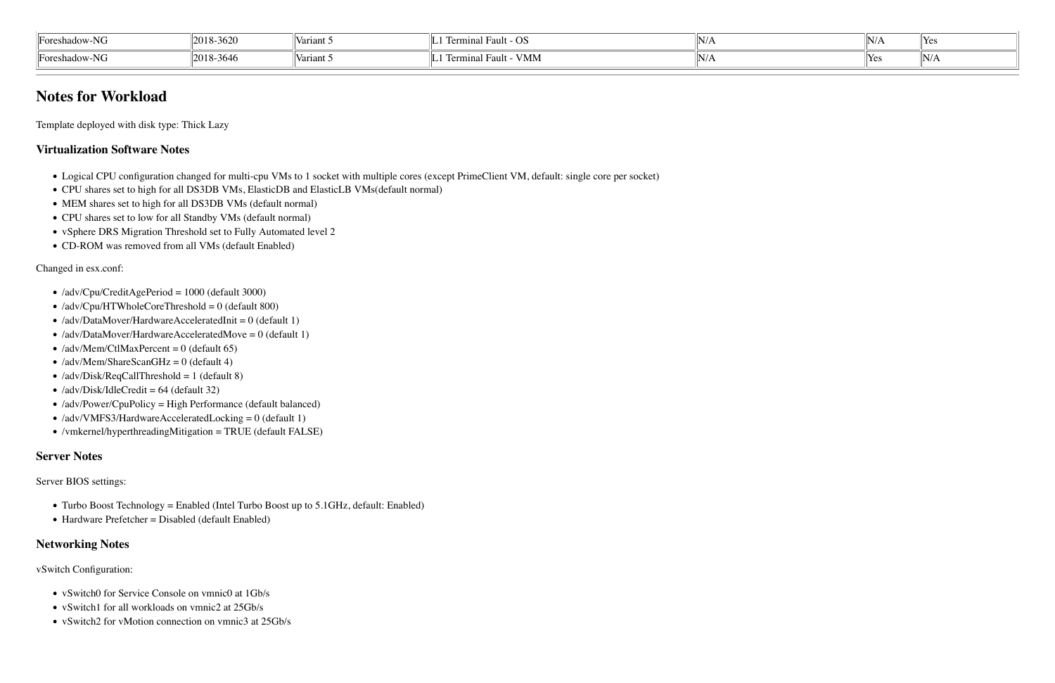| $\sim$ $\sim$ $\sim$<br>$\overline{\phantom{a}}$<br>∍ירויי י<br>$\mathbf{1}$ | $\sim$ $\sim$<br>$12018 - 362$ | v ai iai. | - -<br>. .<br>- 13<br>ヽノヽ)         | $9N/L_{\odot}$ | $\mathbf{U} \mathbf{V} / I$ | Yes      |
|------------------------------------------------------------------------------|--------------------------------|-----------|------------------------------------|----------------|-----------------------------|----------|
| l vers<br>⊪nres<br>$\mathbf{1}$                                              | $-364c$<br> 2018-              | variant   | VMM <sup>V</sup><br>$\sim$<br>⊤aun | $\frac{1}{2}$  | ⊟ re∈                       | $  N _L$ |

- !"Logical CPU configuration changed for multi-cpu VMs to 1 socket with multiple cores (except PrimeClient VM, default: single core per socket)
- !"CPU shares set to high for all DS3DB VMs, ElasticDB and ElasticLB VMs(default normal)
- MEM shares set to high for all DS3DB VMs (default normal)
- CPU shares set to low for all Standby VMs (default normal)
- vSphere DRS Migration Threshold set to Fully Automated level 2
- CD-ROM was removed from all VMs (default Enabled)

# **Notes for Workload**

Template deployed with disk type: Thick Lazy

#### **Virtualization Software Notes**

Changed in esx.conf:

- /adv/Cpu/CreditAgePeriod = 1000 (default 3000)
- $\bullet$  /adv/Cpu/HTWholeCoreThreshold = 0 (default 800)
- $\bullet$  /adv/DataMover/HardwareAcceleratedInit = 0 (default 1)
- /adv/DataMover/HardwareAcceleratedMove =  $0$  (default 1)
- $\bullet$  /adv/Mem/CtlMaxPercent = 0 (default 65)
- $\bullet$  /adv/Mem/ShareScanGHz = 0 (default 4)
- $\bullet$  /adv/Disk/ReqCallThreshold = 1 (default 8)
- $\bullet$  /adv/Disk/IdleCredit = 64 (default 32)
- $\bullet$  /adv/Power/CpuPolicy = High Performance (default balanced)
- $\bullet$  /adv/VMFS3/HardwareAcceleratedLocking = 0 (default 1)
- $\bullet$  /vmkernel/hyperthreadingMitigation = TRUE (default FALSE)

#### **Server Notes**

Server BIOS settings:

- Turbo Boost Technology = Enabled (Intel Turbo Boost up to 5.1GHz, default: Enabled)
- Hardware Prefetcher = Disabled (default Enabled)

#### **Networking Notes**

vSwitch Configuration:

- vSwitch0 for Service Console on vmnic0 at 1Gb/s
- vSwitch1 for all workloads on vmnic2 at 25Gb/s
- vSwitch2 for vMotion connection on vmnic3 at 25Gb/s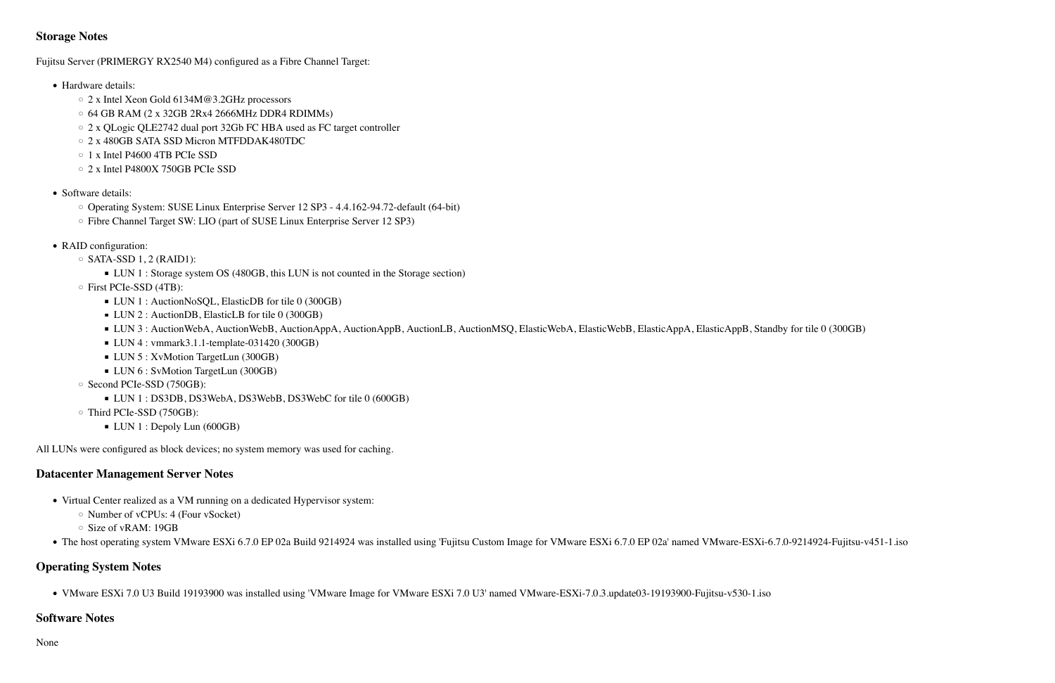### **Storage Notes**

Fujitsu Server (PRIMERGY RX2540 M4) configured as a Fibre Channel Target:

- Hardware details:
	- #"2 x Intel Xeon Gold 6134M@3.2GHz processors
	- $\circ$  64 GB RAM (2 x 32GB 2Rx4 2666MHz DDR4 RDIMMs)
	- 2 x QLogic QLE2742 dual port 32Gb FC HBA used as FC target controller
	- 2 x 480GB SATA SSD Micron MTFDDAK480TDC
	- $\circ$  1 x Intel P4600 4TB PCIe SSD
	- 2 x Intel P4800X 750GB PCIe SSD
- Software details:
	- Operating System: SUSE Linux Enterprise Server 12 SP3 4.4.162-94.72-default (64-bit)
	- Fibre Channel Target SW: LIO (part of SUSE Linux Enterprise Server 12 SP3)
- RAID configuration:
	- $\circ$  SATA-SSD 1, 2 (RAID1):
		- LUN 1 : Storage system OS (480GB, this LUN is not counted in the Storage section)
	- $\circ$  First PCIe-SSD (4TB):
		- LUN 1 : AuctionNoSQL, ElasticDB for tile 0 (300GB)
		- LUN 2 : AuctionDB, ElasticLB for tile 0 (300GB)
		- LUN 3 : AuctionWebA, AuctionWebB, AuctionAppA, AuctionAppB, AuctionLB, AuctionMSQ, ElasticWebA, ElasticWebB, ElasticAppA, ElasticAppB, Standby for tile 0 (300GB)
		- $\blacksquare$  LUN 4 : vmmark3.1.1-template-031420 (300GB)
		- LUN 5 : XvMotion TargetLun (300GB)
		- LUN 6 : SvMotion TargetLun (300GB)
	- $\circ$  Second PCIe-SSD (750GB):
		- \$"LUN 1 : DS3DB, DS3WebA, DS3WebB, DS3WebC for tile 0 (600GB)
	- Third PCIe-SSD (750GB):
		- $\blacksquare$  LUN 1 : Depoly Lun (600GB)

All LUNs were configured as block devices; no system memory was used for caching.

## **Datacenter Management Server Notes**

- Virtual Center realized as a VM running on a dedicated Hypervisor system:
	- $\circ$  Number of vCPUs: 4 (Four vSocket)
	- $\circ$  Size of vRAM: 19GB
- The host operating system VMware ESXi 6.7.0 EP 02a Build 9214924 was installed using 'Fujitsu Custom Image for VMware ESXi 6.7.0 EP 02a' named VMware-ESXi-6.7.0-9214924-Fujitsu-v451-1.iso

## **Operating System Notes**

• VMware ESXi 7.0 U3 Build 19193900 was installed using 'VMware Image for VMware ESXi 7.0 U3' named VMware-ESXi-7.0.3.update03-19193900-Fujitsu-v530-1.iso

## **Software Notes**